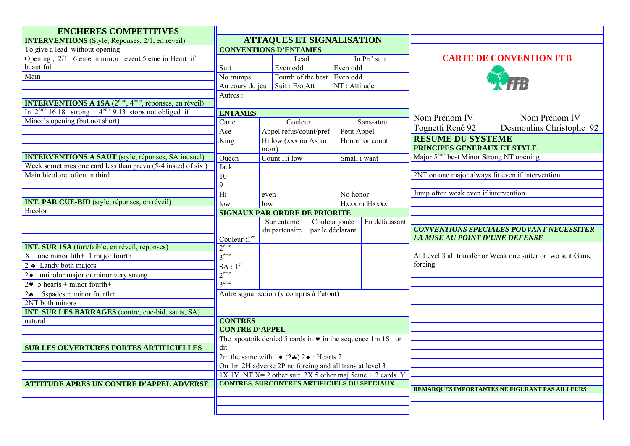| <b>ENCHERES COMPETITIVES</b>                                                |                                                                                                                             |                                                                                   |                             |                                                 |                |                                                     |                                                             |
|-----------------------------------------------------------------------------|-----------------------------------------------------------------------------------------------------------------------------|-----------------------------------------------------------------------------------|-----------------------------|-------------------------------------------------|----------------|-----------------------------------------------------|-------------------------------------------------------------|
| <b>INTERVENTIONS</b> (Style, Réponses, 2/1, en réveil)                      | <b>ATTAQUES ET SIGNALISATION</b>                                                                                            |                                                                                   |                             |                                                 |                |                                                     |                                                             |
| To give a lead without opening                                              | <b>CONVENTIONS D'ENTAMES</b>                                                                                                |                                                                                   |                             |                                                 |                |                                                     |                                                             |
| Opening, $2/1$ 6 eme in minor event 5 ème in Heart if                       |                                                                                                                             |                                                                                   | Lead                        |                                                 | In Prt' suit   |                                                     | <b>CARTE DE CONVENTION FFB</b>                              |
| beautiful                                                                   | Suit                                                                                                                        | Even odd                                                                          |                             | Even odd                                        |                |                                                     |                                                             |
| Main                                                                        | No trumps                                                                                                                   |                                                                                   | Fourth of the best Even odd |                                                 |                |                                                     |                                                             |
|                                                                             | Au cours du jeu                                                                                                             | Suit: E/o, Att                                                                    |                             | NT: Attitude                                    |                |                                                     |                                                             |
|                                                                             | Autres:                                                                                                                     |                                                                                   |                             |                                                 |                |                                                     |                                                             |
| <b>INTERVENTIONS A 1SA</b> $(2^{eme}, 4^{eme},$ réponses, en réveil)        |                                                                                                                             |                                                                                   |                             |                                                 |                |                                                     |                                                             |
| In $2^{\text{ème}} 16 18$ strong $4^{\text{ème}} 9 13$ stops not obliged if | <b>ENTAMES</b>                                                                                                              |                                                                                   |                             |                                                 |                |                                                     |                                                             |
| Minor's opening (but not short)                                             | Carte                                                                                                                       | Couleur                                                                           |                             |                                                 | Sans-atout     | Nom Prénom IV                                       | Nom Prénom IV                                               |
|                                                                             | Ace                                                                                                                         | Appel refus/count/pref                                                            |                             | Petit Appel                                     |                | Tognetti René 92                                    | Desmoulins Christophe 92                                    |
|                                                                             | King                                                                                                                        | Hi low (xxx ou As au                                                              |                             |                                                 | Honor or count | <b>RESUME DU SYSTEME</b>                            |                                                             |
|                                                                             |                                                                                                                             | mort)                                                                             |                             |                                                 |                | PRINCIPES GENERAUX ET STYLE                         |                                                             |
| <b>INTERVENTIONS A SAUT</b> (style, réponses, SA inusuel)                   | Queen                                                                                                                       | Count Hi low                                                                      |                             | Small i want                                    |                | Major 5 <sup>ème</sup> best Minor Strong NT opening |                                                             |
| Week sometimes one card less than prevu $(5-4$ insted of six)               | <b>Jack</b>                                                                                                                 |                                                                                   |                             |                                                 |                |                                                     |                                                             |
| Main bicolore often in third                                                | $\overline{10}$                                                                                                             |                                                                                   |                             |                                                 |                | 2NT on one major always fit even if intervention    |                                                             |
|                                                                             | 9                                                                                                                           |                                                                                   |                             |                                                 |                |                                                     |                                                             |
|                                                                             | $\overline{Hi}$                                                                                                             | even                                                                              |                             | No honor                                        |                | Jump often weak even if intervention                |                                                             |
| <b>INT. PAR CUE-BID</b> (style, réponses, en réveil)                        | low                                                                                                                         | Hxxx or Hxxxx<br>low                                                              |                             |                                                 |                |                                                     |                                                             |
| <b>Bicolor</b>                                                              | <b>SIGNAUX PAR ORDRE DE PRIORITE</b>                                                                                        |                                                                                   |                             |                                                 |                |                                                     |                                                             |
|                                                                             |                                                                                                                             | En défaussant<br>Couleur jouée<br>Sur entame<br>par le déclarant<br>du partenaire |                             |                                                 |                |                                                     |                                                             |
|                                                                             |                                                                                                                             |                                                                                   |                             | <b>CONVENTIONS SPECIALES POUVANT NECESSITER</b> |                |                                                     |                                                             |
|                                                                             | Couleur : $1er$                                                                                                             |                                                                                   |                             |                                                 |                | LA MISE AU POINT D'UNE DEFENSE                      |                                                             |
| <b>INT. SUR 1SA</b> (fort/faible, en réveil, réponses)                      | $2^{\text{ème}}$                                                                                                            |                                                                                   |                             |                                                 |                |                                                     |                                                             |
| one minor fith $+1$ major fourth<br>X                                       | 3 <sup>eme</sup>                                                                                                            |                                                                                   |                             |                                                 |                |                                                     | At Level 3 all transfer or Weak one suiter or two suit Game |
| $2$ $\bullet$ Landy both majors                                             | SA:1 <sup>er</sup>                                                                                                          |                                                                                   |                             |                                                 |                | forcing                                             |                                                             |
| $2\bullet$ unicolor major or minor very strong                              | 2 <sup>ème</sup>                                                                                                            |                                                                                   |                             |                                                 |                |                                                     |                                                             |
| $2\bullet$ 5 hearts + minor fourth+                                         | 3 <sup>eme</sup>                                                                                                            |                                                                                   |                             |                                                 |                |                                                     |                                                             |
| $5$ spades + minor fourth+<br>$2 \triangle$                                 | Autre signalisation (y compris à l'atout)                                                                                   |                                                                                   |                             |                                                 |                |                                                     |                                                             |
| 2NT both minors                                                             |                                                                                                                             |                                                                                   |                             |                                                 |                |                                                     |                                                             |
| <b>INT. SUR LES BARRAGES</b> (contre, cue-bid, sauts, SA)                   |                                                                                                                             |                                                                                   |                             |                                                 |                |                                                     |                                                             |
| natural                                                                     | <b>CONTRES</b>                                                                                                              |                                                                                   |                             |                                                 |                |                                                     |                                                             |
|                                                                             | <b>CONTRE D'APPEL</b>                                                                                                       |                                                                                   |                             |                                                 |                |                                                     |                                                             |
|                                                                             | The spoutnik denied 5 cards in $\bullet$ in the sequence 1m 1S on                                                           |                                                                                   |                             |                                                 |                |                                                     |                                                             |
| SUR LES OUVERTURES FORTES ARTIFICIELLES                                     | dit                                                                                                                         |                                                                                   |                             |                                                 |                |                                                     |                                                             |
|                                                                             | 2m the same with $1 \cdot (2 \cdot 2) \cdot 2 \cdot 1$ Hearts 2                                                             |                                                                                   |                             |                                                 |                |                                                     |                                                             |
|                                                                             | On 1m 2H adverse 2P no forcing and all trans at level 3                                                                     |                                                                                   |                             |                                                 |                |                                                     |                                                             |
|                                                                             | $1X 1Y1N\overline{I}X = 2$ other suit 2X 5 other maj 5eme + 2 cards Y<br><b>CONTRES, SURCONTRES ARTIFICIELS OU SPECIAUX</b> |                                                                                   |                             |                                                 |                |                                                     |                                                             |
| <b>ATTITUDE APRES UN CONTRE D'APPEL ADVERSE</b>                             |                                                                                                                             |                                                                                   |                             |                                                 |                |                                                     | REMARQUES IMPORTANTES NE FIGURANT PAS AILLEURS              |
|                                                                             |                                                                                                                             |                                                                                   |                             |                                                 |                |                                                     |                                                             |
|                                                                             |                                                                                                                             |                                                                                   |                             |                                                 |                |                                                     |                                                             |
|                                                                             |                                                                                                                             |                                                                                   |                             |                                                 |                |                                                     |                                                             |